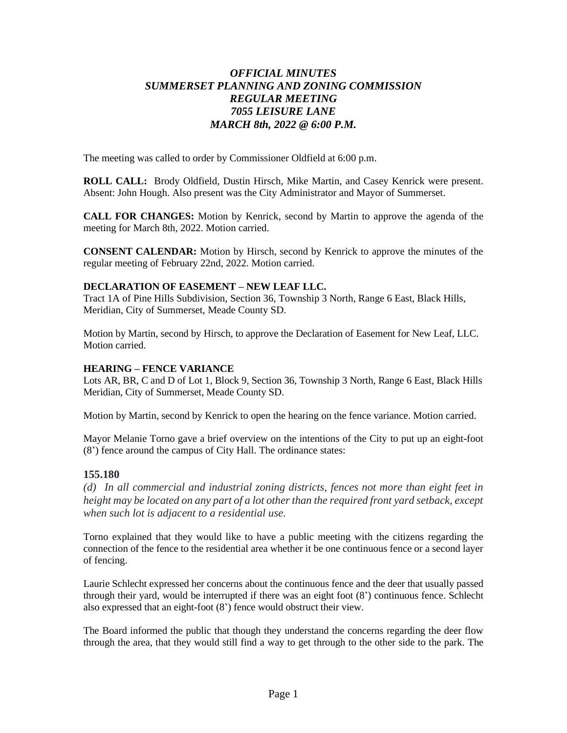# *OFFICIAL MINUTES SUMMERSET PLANNING AND ZONING COMMISSION REGULAR MEETING 7055 LEISURE LANE MARCH 8th, 2022 @ 6:00 P.M.*

The meeting was called to order by Commissioner Oldfield at 6:00 p.m.

**ROLL CALL:** Brody Oldfield, Dustin Hirsch, Mike Martin, and Casey Kenrick were present. Absent: John Hough. Also present was the City Administrator and Mayor of Summerset.

**CALL FOR CHANGES:** Motion by Kenrick, second by Martin to approve the agenda of the meeting for March 8th, 2022. Motion carried.

**CONSENT CALENDAR:** Motion by Hirsch, second by Kenrick to approve the minutes of the regular meeting of February 22nd, 2022. Motion carried.

### **DECLARATION OF EASEMENT – NEW LEAF LLC.**

Tract 1A of Pine Hills Subdivision, Section 36, Township 3 North, Range 6 East, Black Hills, Meridian, City of Summerset, Meade County SD.

Motion by Martin, second by Hirsch, to approve the Declaration of Easement for New Leaf, LLC. Motion carried.

#### **HEARING – FENCE VARIANCE**

Lots AR, BR, C and D of Lot 1, Block 9, Section 36, Township 3 North, Range 6 East, Black Hills Meridian, City of Summerset, Meade County SD.

Motion by Martin, second by Kenrick to open the hearing on the fence variance. Motion carried.

Mayor Melanie Torno gave a brief overview on the intentions of the City to put up an eight-foot (8') fence around the campus of City Hall. The ordinance states:

#### **155.180**

*(d) In all commercial and industrial zoning districts, fences not more than eight feet in height may be located on any part of a lot other than the required front yard setback, except when such lot is adjacent to a residential use.*

Torno explained that they would like to have a public meeting with the citizens regarding the connection of the fence to the residential area whether it be one continuous fence or a second layer of fencing.

Laurie Schlecht expressed her concerns about the continuous fence and the deer that usually passed through their yard, would be interrupted if there was an eight foot (8') continuous fence. Schlecht also expressed that an eight-foot (8') fence would obstruct their view.

The Board informed the public that though they understand the concerns regarding the deer flow through the area, that they would still find a way to get through to the other side to the park. The